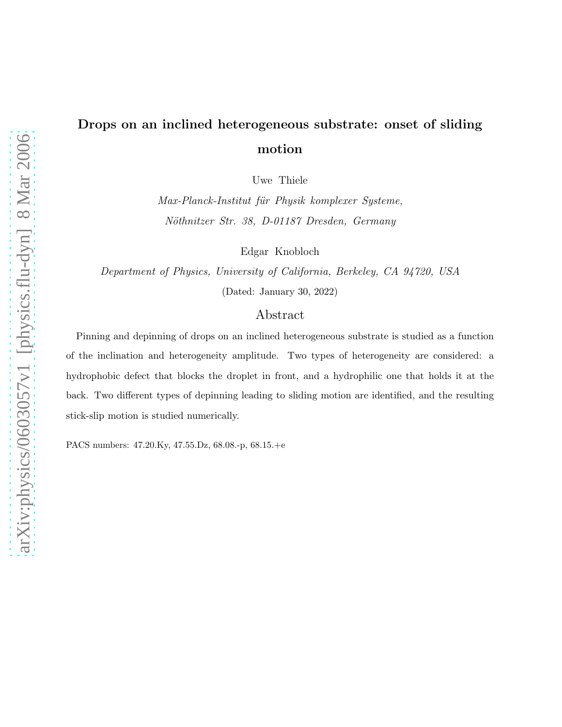## Drops on an inclined heterogeneous substrate: onset of sliding motion

Uwe Thiele

Max-Planck-Institut für Physik komplexer Systeme, Nöthnitzer Str. 38, D-01187 Dresden, Germany

Edgar Knobloch

Department of Physics, University of California, Berkeley, CA 94720, USA (Dated: January 30, 2022)

## Abstract

Pinning and depinning of drops on an inclined heterogeneous substrate is studied as a function of the inclination and heterogeneity amplitude. Two types of heterogeneity are considered: a hydrophobic defect that blocks the droplet in front, and a hydrophilic one that holds it at the back. Two different types of depinning leading to sliding motion are identified, and the resulting stick-slip motion is studied numerically.

PACS numbers: 47.20.Ky, 47.55.Dz, 68.08.-p, 68.15.+e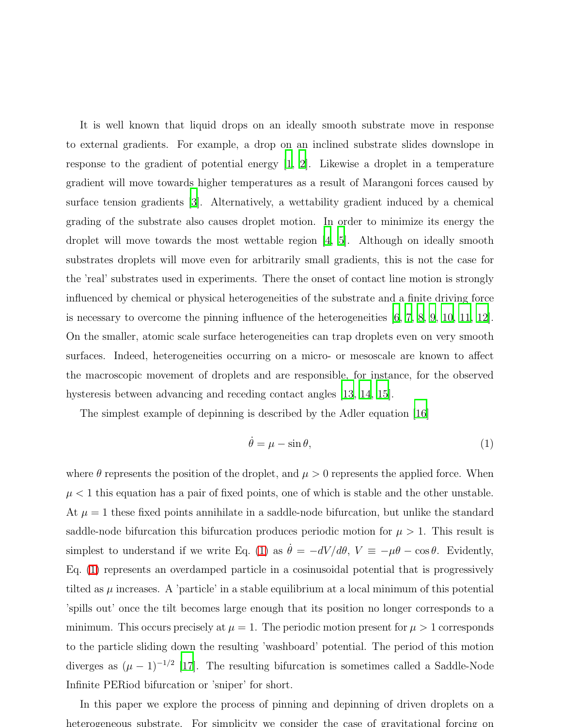It is well known that liquid drops on an ideally smooth substrate move in response to external gradients. For example, a drop on an inclined substrate slides downslope in response to the gradient of potential energy [\[1](#page-6-0), [2\]](#page-6-1). Likewise a droplet in a temperature gradient will move towards higher temperatures as a result of Marangoni forces caused by surface tension gradients [\[3\]](#page-6-2). Alternatively, a wettability gradient induced by a chemical grading of the substrate also causes droplet motion. In order to minimize its energy the droplet will move towards the most wettable region [\[4](#page-6-3), [5\]](#page-6-4). Although on ideally smooth substrates droplets will move even for arbitrarily small gradients, this is not the case for the 'real' substrates used in experiments. There the onset of contact line motion is strongly influenced by chemical or physical heterogeneities of the substrate and a finite driving force is necessary to overcome the pinning influence of the heterogeneities [\[6](#page-6-5), [7](#page-6-6), [8,](#page-6-7) [9,](#page-6-8) [10,](#page-6-9) [11,](#page-6-10) [12\]](#page-6-11). On the smaller, atomic scale surface heterogeneities can trap droplets even on very smooth surfaces. Indeed, heterogeneities occurring on a micro- or mesoscale are known to affect the macroscopic movement of droplets and are responsible, for instance, for the observed hysteresis between advancing and receding contact angles [\[13](#page-6-12), [14](#page-6-13), [15](#page-6-14)].

The simplest example of depinning is described by the Adler equation [\[16\]](#page-6-15)

<span id="page-1-0"></span>
$$
\dot{\theta} = \mu - \sin \theta,\tag{1}
$$

where  $\theta$  represents the position of the droplet, and  $\mu > 0$  represents the applied force. When  $\mu$  < 1 this equation has a pair of fixed points, one of which is stable and the other unstable. At  $\mu = 1$  these fixed points annihilate in a saddle-node bifurcation, but unlike the standard saddle-node bifurcation this bifurcation produces periodic motion for  $\mu > 1$ . This result is simplest to understand if we write Eq. [\(1\)](#page-1-0) as  $\dot{\theta} = -dV/d\theta$ ,  $V = -\mu\theta - \cos\theta$ . Evidently, Eq. [\(1\)](#page-1-0) represents an overdamped particle in a cosinusoidal potential that is progressively tilted as  $\mu$  increases. A 'particle' in a stable equilibrium at a local minimum of this potential 'spills out' once the tilt becomes large enough that its position no longer corresponds to a minimum. This occurs precisely at  $\mu = 1$ . The periodic motion present for  $\mu > 1$  corresponds to the particle sliding down the resulting 'washboard' potential. The period of this motion diverges as  $(\mu - 1)^{-1/2}$  [\[17](#page-6-16)]. The resulting bifurcation is sometimes called a Saddle-Node Infinite PERiod bifurcation or 'sniper' for short.

In this paper we explore the process of pinning and depinning of driven droplets on a heterogeneous substrate. For simplicity we consider the case of gravitational forcing on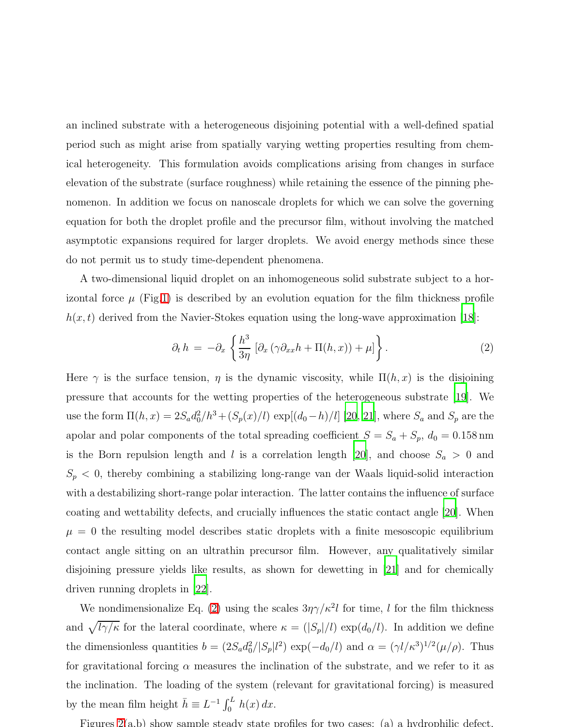an inclined substrate with a heterogeneous disjoining potential with a well-defined spatial period such as might arise from spatially varying wetting properties resulting from chemical heterogeneity. This formulation avoids complications arising from changes in surface elevation of the substrate (surface roughness) while retaining the essence of the pinning phenomenon. In addition we focus on nanoscale droplets for which we can solve the governing equation for both the droplet profile and the precursor film, without involving the matched asymptotic expansions required for larger droplets. We avoid energy methods since these do not permit us to study time-dependent phenomena.

A two-dimensional liquid droplet on an inhomogeneous solid substrate subject to a horizontal force  $\mu$  (Fig[.1\)](#page-8-0) is described by an evolution equation for the film thickness profile  $h(x, t)$  derived from the Navier-Stokes equation using the long-wave approximation [\[18](#page-6-17)]:

<span id="page-2-0"></span>
$$
\partial_t h = -\partial_x \left\{ \frac{h^3}{3\eta} \left[ \partial_x \left( \gamma \partial_{xx} h + \Pi(h, x) \right) + \mu \right] \right\}.
$$
 (2)

Here  $\gamma$  is the surface tension,  $\eta$  is the dynamic viscosity, while  $\Pi(h, x)$  is the disjoining pressure that accounts for the wetting properties of the heterogeneous substrate [\[19](#page-6-18)]. We use the form  $\Pi(h, x) = 2S_a d_0^2 / h^3 + (S_p(x)/l) \exp[(d_0 - h)/l]$  [\[20](#page-6-19), [21\]](#page-6-20), where  $S_a$  and  $S_p$  are the apolar and polar components of the total spreading coefficient  $S = S_a + S_p$ ,  $d_0 = 0.158$  nm is the Born repulsion length and l is a correlation length [\[20\]](#page-6-19), and choose  $S_a > 0$  and  $S_p < 0$ , thereby combining a stabilizing long-range van der Waals liquid-solid interaction with a destabilizing short-range polar interaction. The latter contains the influence of surface coating and wettability defects, and crucially influences the static contact angle [\[20](#page-6-19)]. When  $\mu = 0$  the resulting model describes static droplets with a finite mesoscopic equilibrium contact angle sitting on an ultrathin precursor film. However, any qualitatively similar disjoining pressure yields like results, as shown for dewetting in [\[21](#page-6-20)] and for chemically driven running droplets in [\[22\]](#page-7-0).

We nondimensionalize Eq. [\(2\)](#page-2-0) using the scales  $3\eta\gamma/k^2 l$  for time, l for the film thickness and  $\sqrt{l\gamma/\kappa}$  for the lateral coordinate, where  $\kappa = (|S_p|/l) \exp(d_0/l)$ . In addition we define the dimensionless quantities  $b = (2S_a d_0^2/|S_p|l^2) \exp(-d_0/l)$  and  $\alpha = (\gamma l/\kappa^3)^{1/2}(\mu/\rho)$ . Thus for gravitational forcing  $\alpha$  measures the inclination of the substrate, and we refer to it as the inclination. The loading of the system (relevant for gravitational forcing) is measured by the mean film height  $\bar{h} \equiv L^{-1} \int_0^L h(x) dx$ .

Figures [2\(](#page-9-0)a,b) show sample steady state profiles for two cases: (a) a hydrophilic defect,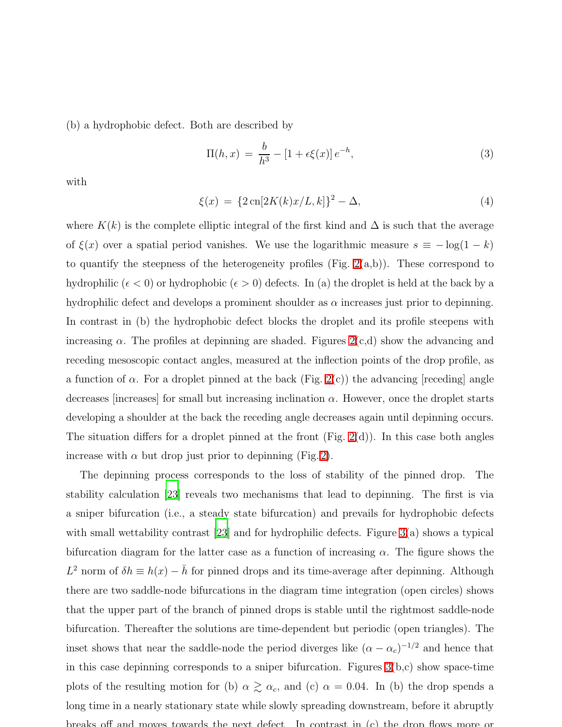(b) a hydrophobic defect. Both are described by

$$
\Pi(h, x) = \frac{b}{h^3} - [1 + \epsilon \xi(x)] e^{-h}, \tag{3}
$$

<span id="page-3-0"></span>with

$$
\xi(x) = \{2\operatorname{cn}[2K(k)x/L, k]\}^2 - \Delta,\tag{4}
$$

where  $K(k)$  is the complete elliptic integral of the first kind and  $\Delta$  is such that the average of  $\xi(x)$  over a spatial period vanishes. We use the logarithmic measure  $s \equiv -\log(1 - k)$ to quantify the steepness of the heterogeneity profiles (Fig.  $2(a,b)$ ). These correspond to hydrophilic ( $\epsilon$  < 0) or hydrophobic ( $\epsilon$  > 0) defects. In (a) the droplet is held at the back by a hydrophilic defect and develops a prominent shoulder as  $\alpha$  increases just prior to depinning. In contrast in (b) the hydrophobic defect blocks the droplet and its profile steepens with increasing  $\alpha$ . The profiles at depinning are shaded. Figures  $2(c,d)$  show the advancing and receding mesoscopic contact angles, measured at the inflection points of the drop profile, as a function of  $\alpha$ . For a droplet pinned at the back (Fig. [2\(](#page-9-0)c)) the advancing [receding] angle decreases [increases] for small but increasing inclination  $\alpha$ . However, once the droplet starts developing a shoulder at the back the receding angle decreases again until depinning occurs. The situation differs for a droplet pinned at the front  $(Fig. 2(d))$  $(Fig. 2(d))$  $(Fig. 2(d))$ . In this case both angles increase with  $\alpha$  but drop just prior to depinning (Fig. [2\)](#page-9-0).

The depinning process corresponds to the loss of stability of the pinned drop. The stability calculation [\[23\]](#page-7-1) reveals two mechanisms that lead to depinning. The first is via a sniper bifurcation (i.e., a steady state bifurcation) and prevails for hydrophobic defects with small wettability contrast [\[23\]](#page-7-1) and for hydrophilic defects. Figure [3\(](#page-10-0)a) shows a typical bifurcation diagram for the latter case as a function of increasing  $\alpha$ . The figure shows the  $L^2$  norm of  $\delta h \equiv h(x) - \bar{h}$  for pinned drops and its time-average after depinning. Although there are two saddle-node bifurcations in the diagram time integration (open circles) shows that the upper part of the branch of pinned drops is stable until the rightmost saddle-node bifurcation. Thereafter the solutions are time-dependent but periodic (open triangles). The inset shows that near the saddle-node the period diverges like  $(\alpha - \alpha_c)^{-1/2}$  and hence that in this case depinning corresponds to a sniper bifurcation. Figures [3\(](#page-10-0)b,c) show space-time plots of the resulting motion for (b)  $\alpha \gtrsim \alpha_c$ , and (c)  $\alpha = 0.04$ . In (b) the drop spends a long time in a nearly stationary state while slowly spreading downstream, before it abruptly breaks off and moves towards the next defect. In contrast in  $(c)$  the drop flows more or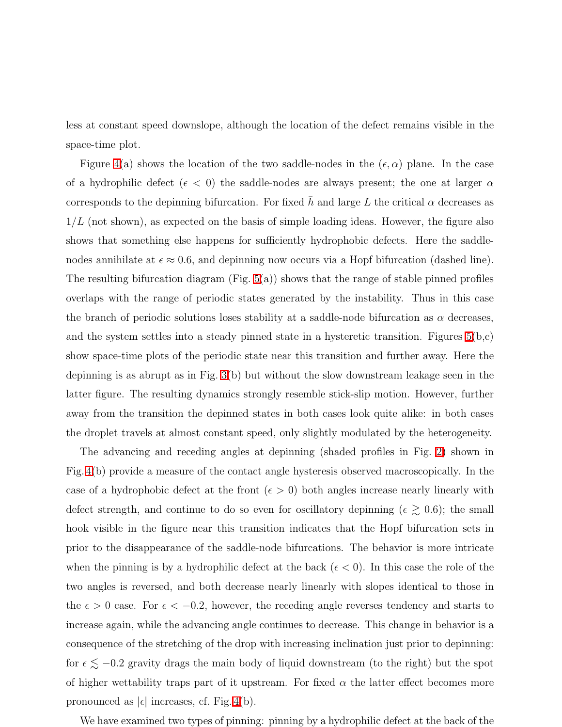less at constant speed downslope, although the location of the defect remains visible in the space-time plot.

Figure [4\(](#page-11-0)a) shows the location of the two saddle-nodes in the  $(\epsilon, \alpha)$  plane. In the case of a hydrophilic defect ( $\epsilon$  < 0) the saddle-nodes are always present; the one at larger  $\alpha$ corresponds to the depinning bifurcation. For fixed  $\bar{h}$  and large L the critical  $\alpha$  decreases as  $1/L$  (not shown), as expected on the basis of simple loading ideas. However, the figure also shows that something else happens for sufficiently hydrophobic defects. Here the saddlenodes annihilate at  $\epsilon \approx 0.6$ , and depinning now occurs via a Hopf bifurcation (dashed line). The resulting bifurcation diagram (Fig.  $5(a)$ ) shows that the range of stable pinned profiles overlaps with the range of periodic states generated by the instability. Thus in this case the branch of periodic solutions loses stability at a saddle-node bifurcation as  $\alpha$  decreases, and the system settles into a steady pinned state in a hysteretic transition. Figures  $5(b,c)$ show space-time plots of the periodic state near this transition and further away. Here the depinning is as abrupt as in Fig. [3\(](#page-10-0)b) but without the slow downstream leakage seen in the latter figure. The resulting dynamics strongly resemble stick-slip motion. However, further away from the transition the depinned states in both cases look quite alike: in both cases the droplet travels at almost constant speed, only slightly modulated by the heterogeneity.

The advancing and receding angles at depinning (shaded profiles in Fig. [2\)](#page-9-0) shown in Fig. [4\(](#page-11-0)b) provide a measure of the contact angle hysteresis observed macroscopically. In the case of a hydrophobic defect at the front  $(\epsilon > 0)$  both angles increase nearly linearly with defect strength, and continue to do so even for oscillatory depinning ( $\epsilon \gtrsim 0.6$ ); the small hook visible in the figure near this transition indicates that the Hopf bifurcation sets in prior to the disappearance of the saddle-node bifurcations. The behavior is more intricate when the pinning is by a hydrophilic defect at the back  $(\epsilon < 0)$ . In this case the role of the two angles is reversed, and both decrease nearly linearly with slopes identical to those in the  $\epsilon > 0$  case. For  $\epsilon < -0.2$ , however, the receding angle reverses tendency and starts to increase again, while the advancing angle continues to decrease. This change in behavior is a consequence of the stretching of the drop with increasing inclination just prior to depinning: for  $\epsilon \lesssim -0.2$  gravity drags the main body of liquid downstream (to the right) but the spot of higher wettability traps part of it upstream. For fixed  $\alpha$  the latter effect becomes more pronounced as  $|\epsilon|$  increases, cf. Fig. [4\(](#page-11-0)b).

We have examined two types of pinning: pinning by a hydrophilic defect at the back of the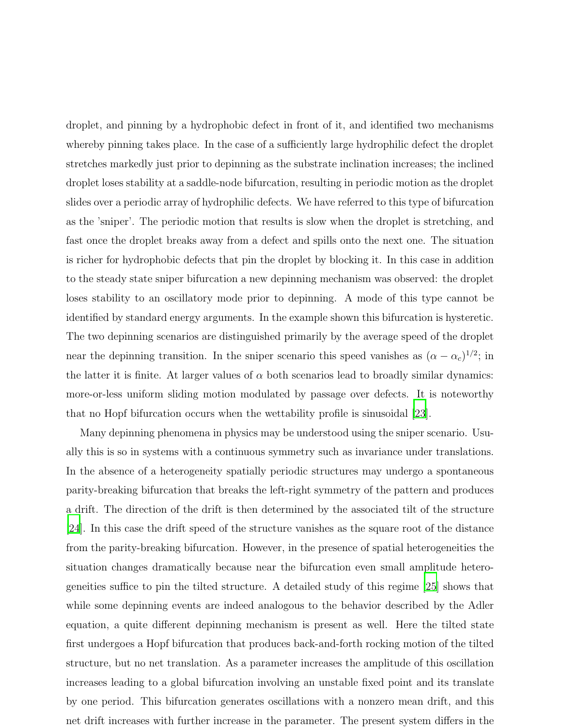droplet, and pinning by a hydrophobic defect in front of it, and identified two mechanisms whereby pinning takes place. In the case of a sufficiently large hydrophilic defect the droplet stretches markedly just prior to depinning as the substrate inclination increases; the inclined droplet loses stability at a saddle-node bifurcation, resulting in periodic motion as the droplet slides over a periodic array of hydrophilic defects. We have referred to this type of bifurcation as the 'sniper'. The periodic motion that results is slow when the droplet is stretching, and fast once the droplet breaks away from a defect and spills onto the next one. The situation is richer for hydrophobic defects that pin the droplet by blocking it. In this case in addition to the steady state sniper bifurcation a new depinning mechanism was observed: the droplet loses stability to an oscillatory mode prior to depinning. A mode of this type cannot be identified by standard energy arguments. In the example shown this bifurcation is hysteretic. The two depinning scenarios are distinguished primarily by the average speed of the droplet near the depinning transition. In the sniper scenario this speed vanishes as  $(\alpha - \alpha_c)^{1/2}$ ; in the latter it is finite. At larger values of  $\alpha$  both scenarios lead to broadly similar dynamics: more-or-less uniform sliding motion modulated by passage over defects. It is noteworthy that no Hopf bifurcation occurs when the wettability profile is sinusoidal [\[23\]](#page-7-1).

Many depinning phenomena in physics may be understood using the sniper scenario. Usually this is so in systems with a continuous symmetry such as invariance under translations. In the absence of a heterogeneity spatially periodic structures may undergo a spontaneous parity-breaking bifurcation that breaks the left-right symmetry of the pattern and produces a drift. The direction of the drift is then determined by the associated tilt of the structure [\[24\]](#page-7-2). In this case the drift speed of the structure vanishes as the square root of the distance from the parity-breaking bifurcation. However, in the presence of spatial heterogeneities the situation changes dramatically because near the bifurcation even small amplitude heterogeneities suffice to pin the tilted structure. A detailed study of this regime [\[25\]](#page-7-3) shows that while some depinning events are indeed analogous to the behavior described by the Adler equation, a quite different depinning mechanism is present as well. Here the tilted state first undergoes a Hopf bifurcation that produces back-and-forth rocking motion of the tilted structure, but no net translation. As a parameter increases the amplitude of this oscillation increases leading to a global bifurcation involving an unstable fixed point and its translate by one period. This bifurcation generates oscillations with a nonzero mean drift, and this net drift increases with further increase in the parameter. The present system differs in the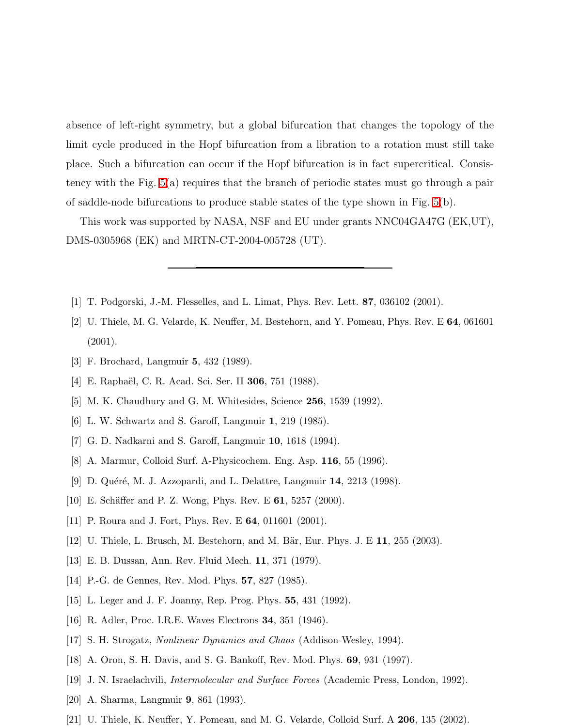absence of left-right symmetry, but a global bifurcation that changes the topology of the limit cycle produced in the Hopf bifurcation from a libration to a rotation must still take place. Such a bifurcation can occur if the Hopf bifurcation is in fact supercritical. Consistency with the Fig. [5\(](#page-12-0)a) requires that the branch of periodic states must go through a pair of saddle-node bifurcations to produce stable states of the type shown in Fig. [5\(](#page-12-0)b).

This work was supported by NASA, NSF and EU under grants NNC04GA47G (EK,UT), DMS-0305968 (EK) and MRTN-CT-2004-005728 (UT).

- <span id="page-6-1"></span><span id="page-6-0"></span>[1] T. Podgorski, J.-M. Flesselles, and L. Limat, Phys. Rev. Lett. 87, 036102 (2001).
- [2] U. Thiele, M. G. Velarde, K. Neuffer, M. Bestehorn, and Y. Pomeau, Phys. Rev. E 64, 061601 (2001).
- <span id="page-6-3"></span><span id="page-6-2"></span>[3] F. Brochard, Langmuir 5, 432 (1989).
- <span id="page-6-4"></span>[4] E. Raphaël, C. R. Acad. Sci. Ser. II **306**, 751 (1988).
- <span id="page-6-5"></span>[5] M. K. Chaudhury and G. M. Whitesides, Science 256, 1539 (1992).
- [6] L. W. Schwartz and S. Garoff, Langmuir 1, 219 (1985).
- <span id="page-6-6"></span>[7] G. D. Nadkarni and S. Garoff, Langmuir 10, 1618 (1994).
- <span id="page-6-7"></span>[8] A. Marmur, Colloid Surf. A-Physicochem. Eng. Asp. 116, 55 (1996).
- <span id="page-6-8"></span>[9] D. Quéré, M. J. Azzopardi, and L. Delattre, Langmuir 14, 2213 (1998).
- <span id="page-6-9"></span>[10] E. Schäffer and P. Z. Wong, Phys. Rev. E  $61$ , 5257 (2000).
- <span id="page-6-10"></span>[11] P. Roura and J. Fort, Phys. Rev. E **64**, 011601 (2001).
- <span id="page-6-11"></span>[12] U. Thiele, L. Brusch, M. Bestehorn, and M. Bär, Eur. Phys. J. E  $11$ ,  $255$  (2003).
- <span id="page-6-12"></span>[13] E. B. Dussan, Ann. Rev. Fluid Mech. 11, 371 (1979).
- <span id="page-6-14"></span><span id="page-6-13"></span>[14] P.-G. de Gennes, Rev. Mod. Phys. 57, 827 (1985).
- [15] L. Leger and J. F. Joanny, Rep. Prog. Phys. 55, 431 (1992).
- <span id="page-6-15"></span>[16] R. Adler, Proc. I.R.E. Waves Electrons 34, 351 (1946).
- <span id="page-6-16"></span>[17] S. H. Strogatz, Nonlinear Dynamics and Chaos (Addison-Wesley, 1994).
- <span id="page-6-17"></span>[18] A. Oron, S. H. Davis, and S. G. Bankoff, Rev. Mod. Phys. 69, 931 (1997).
- <span id="page-6-18"></span>[19] J. N. Israelachvili, Intermolecular and Surface Forces (Academic Press, London, 1992).
- <span id="page-6-19"></span>[20] A. Sharma, Langmuir 9, 861 (1993).
- <span id="page-6-20"></span>[21] U. Thiele, K. Neuffer, Y. Pomeau, and M. G. Velarde, Colloid Surf. A 206, 135 (2002).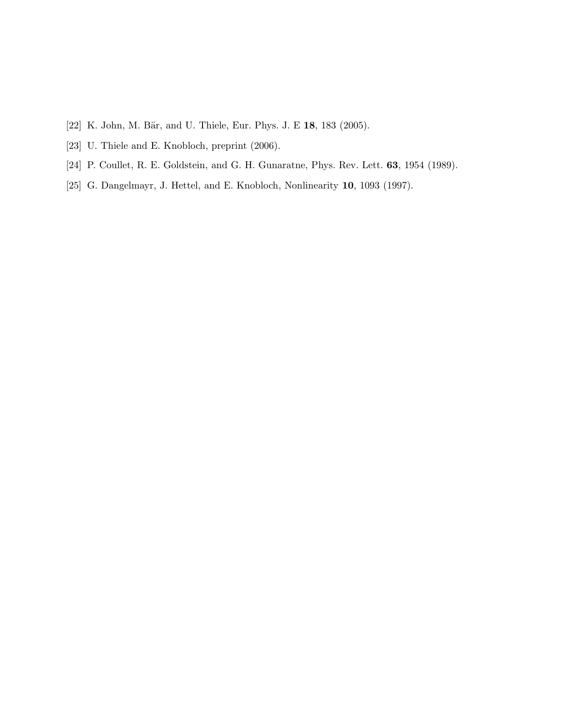- <span id="page-7-1"></span><span id="page-7-0"></span>[22] K. John, M. Bär, and U. Thiele, Eur. Phys. J. E 18, 183 (2005).
- <span id="page-7-2"></span>[23] U. Thiele and E. Knobloch, preprint (2006).
- <span id="page-7-3"></span>[24] P. Coullet, R. E. Goldstein, and G. H. Gunaratne, Phys. Rev. Lett. 63, 1954 (1989).
- [25] G. Dangelmayr, J. Hettel, and E. Knobloch, Nonlinearity 10, 1093 (1997).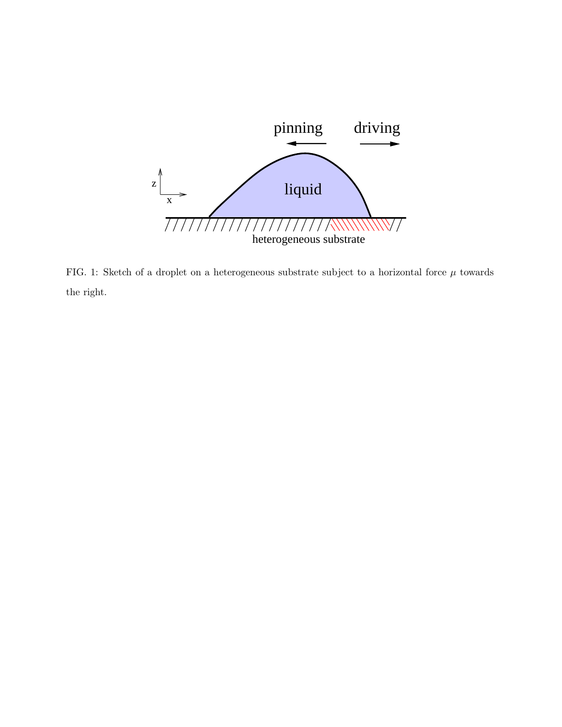

<span id="page-8-0"></span>FIG. 1: Sketch of a droplet on a heterogeneous substrate subject to a horizontal force  $\mu$  towards the right.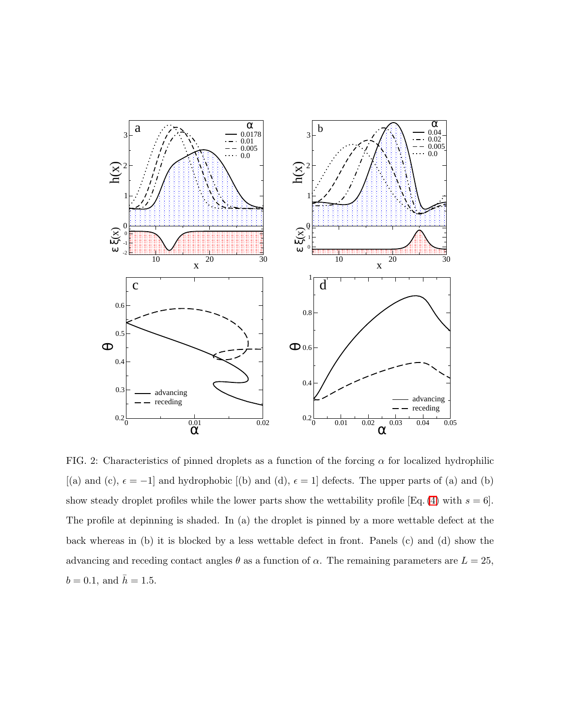

<span id="page-9-0"></span>FIG. 2: Characteristics of pinned droplets as a function of the forcing  $\alpha$  for localized hydrophilic [(a) and (c),  $\epsilon = -1$ ] and hydrophobic [(b) and (d),  $\epsilon = 1$ ] defects. The upper parts of (a) and (b) show steady droplet profiles while the lower parts show the wettability profile [Eq. [\(4\)](#page-3-0) with  $s = 6$ ]. The profile at depinning is shaded. In (a) the droplet is pinned by a more wettable defect at the back whereas in (b) it is blocked by a less wettable defect in front. Panels (c) and (d) show the advancing and receding contact angles  $\theta$  as a function of  $\alpha$ . The remaining parameters are  $L = 25$ ,  $b = 0.1$ , and  $\bar{h} = 1.5$ .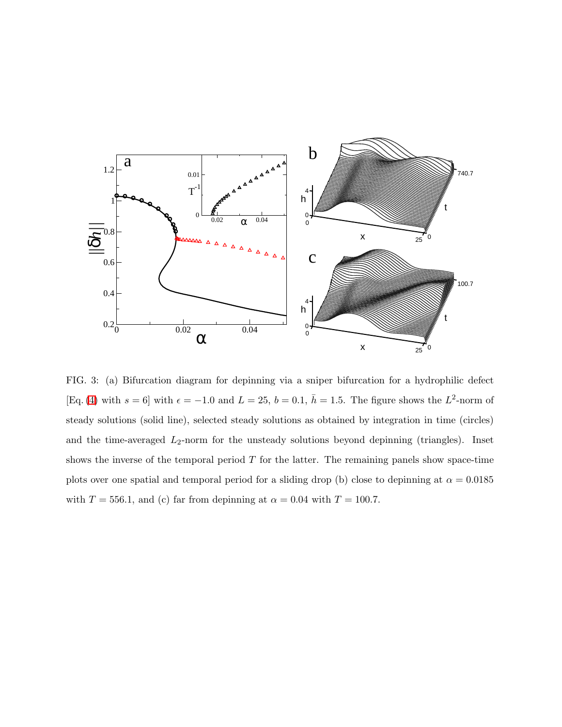

<span id="page-10-0"></span>FIG. 3: (a) Bifurcation diagram for depinning via a sniper bifurcation for a hydrophilic defect [Eq. [\(4\)](#page-3-0) with  $s = 6$ ] with  $\epsilon = -1.0$  and  $L = 25$ ,  $b = 0.1$ ,  $\bar{h} = 1.5$ . The figure shows the  $L^2$ -norm of steady solutions (solid line), selected steady solutions as obtained by integration in time (circles) and the time-averaged  $L_2$ -norm for the unsteady solutions beyond depinning (triangles). Inset shows the inverse of the temporal period  $T$  for the latter. The remaining panels show space-time plots over one spatial and temporal period for a sliding drop (b) close to depinning at  $\alpha = 0.0185$ with  $T = 556.1$ , and (c) far from depinning at  $\alpha = 0.04$  with  $T = 100.7$ .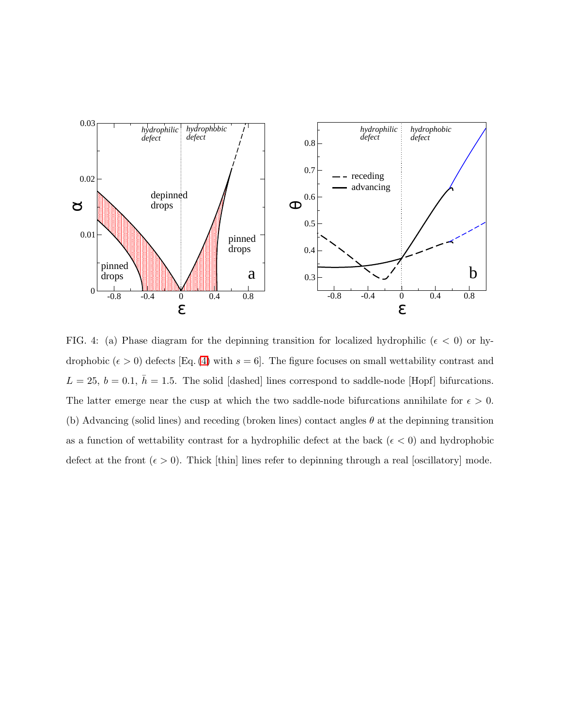

<span id="page-11-0"></span>FIG. 4: (a) Phase diagram for the depinning transition for localized hydrophilic ( $\epsilon$  < 0) or hydrophobic  $(\epsilon > 0)$  defects [Eq. [\(4\)](#page-3-0) with  $s = 6$ ]. The figure focuses on small wettability contrast and  $L = 25, b = 0.1, \bar{h} = 1.5$ . The solid [dashed] lines correspond to saddle-node [Hopf] bifurcations. The latter emerge near the cusp at which the two saddle-node bifurcations annihilate for  $\epsilon > 0$ . (b) Advancing (solid lines) and receding (broken lines) contact angles  $\theta$  at the depinning transition as a function of wettability contrast for a hydrophilic defect at the back  $(\epsilon < 0)$  and hydrophobic defect at the front  $(\epsilon > 0)$ . Thick [thin] lines refer to depinning through a real [oscillatory] mode.